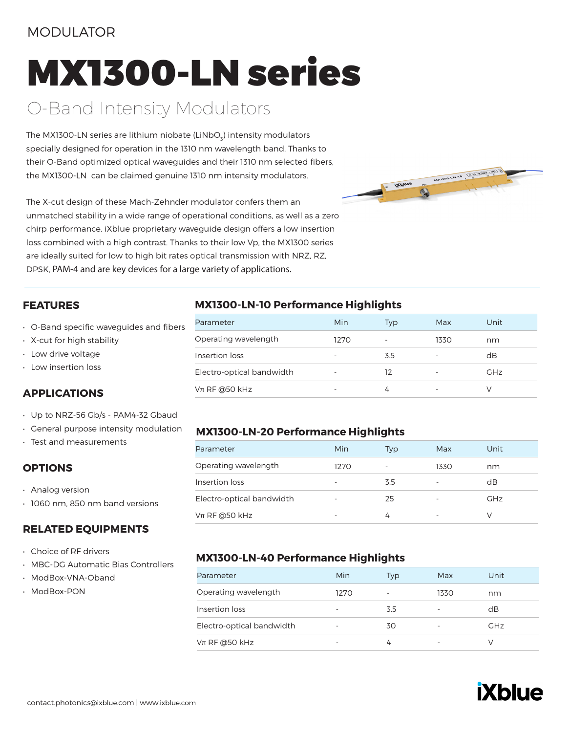### MODULATOR

# MX1300-LN series

# O-Band Intensity Modulators

The MX1300-LN series are lithium niobate (LiNbO $_{\tiny 3}$ ) intensity modulators specially designed for operation in the 1310 nm wavelength band. Thanks to their O-Band optimized optical waveguides and their 1310 nm selected fibers, the MX1300-LN can be claimed genuine 1310 nm intensity modulators.

The X-cut design of these Mach-Zehnder modulator confers them an unmatched stability in a wide range of operational conditions, as well as a zero chirp performance. iXblue proprietary waveguide design offers a low insertion loss combined with a high contrast. Thanks to their low Vp, the MX1300 series are ideally suited for low to high bit rates optical transmission with NRZ, RZ, DPSK, PAM-4 and are key devices for a large variety of applications.



#### **FEATURES**

- O-Band specific waveguides and fibers
- X-cut for high stability
- Low drive voltage
- Low insertion loss

#### **APPLICATIONS**

- Up to NRZ-56 Gb/s PAM4-32 Gbaud
- General purpose intensity modulation
- Test and measurements

#### **OPTIONS**

- Analog version
- 1060 nm, 850 nm band versions

#### **RELATED EQUIPMENTS**

- Choice of RF drivers
- MBC-DG Automatic Bias Controllers
- ModBox-VNA-Oband
- ModBox-PON

#### **MX1300-LN-10 Performance Highlights**

| Parameter                 | Min  | Typ | Max  | Unit       |
|---------------------------|------|-----|------|------------|
| Operating wavelength      | 1270 |     | 1330 | nm         |
| Insertion loss            |      | 3.5 |      | dB         |
| Electro-optical bandwidth |      | 12  |      | <b>GHz</b> |
| $Vπ$ RF @50 kHz           |      | 4   |      |            |

#### **MX1300-LN-20 Performance Highlights**

| Parameter                 | Min  | Tvp | Max  | Unit       |
|---------------------------|------|-----|------|------------|
| Operating wavelength      | 1270 |     | 1330 | nm         |
| Insertion loss            |      | 3.5 |      | dB         |
| Electro-optical bandwidth |      | 25  |      | <b>GHz</b> |
| $Vπ$ RF @50 kHz           | ۰    |     |      |            |

#### **MX1300-LN-40 Performance Highlights**

| Parameter                 | Min                      | Typ                      | Max  | Unit       |
|---------------------------|--------------------------|--------------------------|------|------------|
| Operating wavelength      | 1270                     | $\overline{\phantom{a}}$ | 1330 | nm         |
| Insertion loss            | $\overline{\phantom{0}}$ | 3.5                      |      | dB         |
| Electro-optical bandwidth | $\overline{\phantom{0}}$ | 30                       |      | <b>GHz</b> |
| $Vπ$ RF @50 kHz           | $\overline{\phantom{0}}$ |                          |      |            |

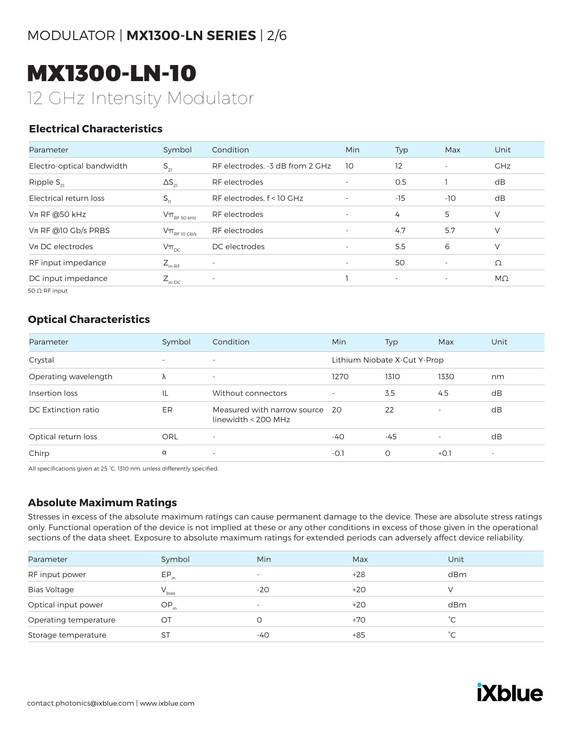# MODULATOR | **MX1300-LN SERIES** | 2/6

# MX1300-LN-10 12 GHz Intensity Modulator

#### **Electrical Characteristics**

| Parameter                 | Symbol                                                                              | Condition                       | <b>Min</b>               | Typ                      | Max                      | Unit       |
|---------------------------|-------------------------------------------------------------------------------------|---------------------------------|--------------------------|--------------------------|--------------------------|------------|
| Electro-optical bandwidth | $S_{21}$                                                                            | RF electrodes. -3 dB from 2 GHz | 10                       | 12                       | $\overline{\phantom{a}}$ | <b>GHz</b> |
| Ripple $S_{21}$           | $\Delta S_{21}$                                                                     | RF electrodes                   | $\overline{\phantom{a}}$ | 0.5                      |                          | dB         |
| Electrical return loss    | $S_{11}$                                                                            | RF electrodes, f < 10 GHz       | $\overline{\phantom{a}}$ | -15                      | $-10$                    | dB         |
| $Vπ$ RF @50 kHz           | $\mathsf{V}\pi_{\scriptscriptstyle\mathrm{RF}\,50\,\scriptscriptstyle\mathrm{kHz}}$ | RF electrodes                   | $\overline{\phantom{a}}$ | 4                        | 5                        | V          |
| $V\pi$ RF @10 Gb/s PRBS   | $V\pi$ <sub>RF10 Gb/s</sub>                                                         | RF electrodes                   | $\overline{\phantom{a}}$ | 4.7                      | 5.7                      | V          |
| $Vπ$ DC electrodes        | $V\pi_{\text{DC}}$                                                                  | DC electrodes                   | $\overline{\phantom{a}}$ | 5.5                      | 6                        | V          |
| RF input impedance        | $Z_{\text{in-RF}}$                                                                  | $\overline{\phantom{a}}$        | $\sim$                   | 50                       | $\overline{\phantom{a}}$ | Ω          |
| DC input impedance        | $Z_{\text{in-DC}}$                                                                  | $\overline{\phantom{a}}$        |                          | $\overline{\phantom{a}}$ | $\overline{\phantom{a}}$ | $M\Omega$  |
| _______                   |                                                                                     |                                 |                          |                          |                          |            |

50 Ω RF input

#### **Optical Characteristics**

| Parameter            | Symbol                   | Condition                                             | Min                      | Typ                          | Max                      | Unit                     |
|----------------------|--------------------------|-------------------------------------------------------|--------------------------|------------------------------|--------------------------|--------------------------|
| Crystal              | $\overline{\phantom{0}}$ | $\overline{\phantom{a}}$                              |                          | Lithium Niobate X-Cut Y-Prop |                          |                          |
| Operating wavelength | λ                        | $\overline{\phantom{a}}$                              | 1270                     | 1310                         | 1330                     | nm                       |
| Insertion loss       | IL                       | Without connectors                                    | $\overline{\phantom{a}}$ | 3.5                          | 4.5                      | dB                       |
| DC Extinction ratio  | ER.                      | Measured with narrow source 20<br>linewidth < 200 MHz |                          | 22                           | $\overline{\phantom{a}}$ | dB                       |
| Optical return loss  | ORL                      | $\overline{\phantom{a}}$                              | $-40$                    | $-45$                        | $\overline{\phantom{0}}$ | dB                       |
| Chirp                | α                        | $\overline{\phantom{a}}$                              | $-0.1$                   | 0                            | $+0.1$                   | $\overline{\phantom{a}}$ |

All specifications given at 25 °C, 1310 nm, unless differently specified.

#### **Absolute Maximum Ratings**

Stresses in excess of the absolute maximum ratings can cause permanent damage to the device. These are absolute stress ratings only. Functional operation of the device is not implied at these or any other conditions in excess of those given in the operational sections of the data sheet. Exposure to absolute maximum ratings for extended periods can adversely affect device reliability.

| Parameter             | Symbol     | <b>Min</b>               | Max   | Unit         |
|-----------------------|------------|--------------------------|-------|--------------|
| RF input power        | $EP_{in}$  | $\overline{\phantom{0}}$ | $+28$ | dBm          |
| <b>Bias Voltage</b>   | $V_{bias}$ | $-20$                    | $+20$ |              |
| Optical input power   | $OP_{in}$  | $\overline{\phantom{a}}$ | $+20$ | dBm          |
| Operating temperature | ОT         | $\Omega$                 | $+70$ | °С           |
| Storage temperature   | ST         | -40                      | $+85$ | $^{\circ}$ C |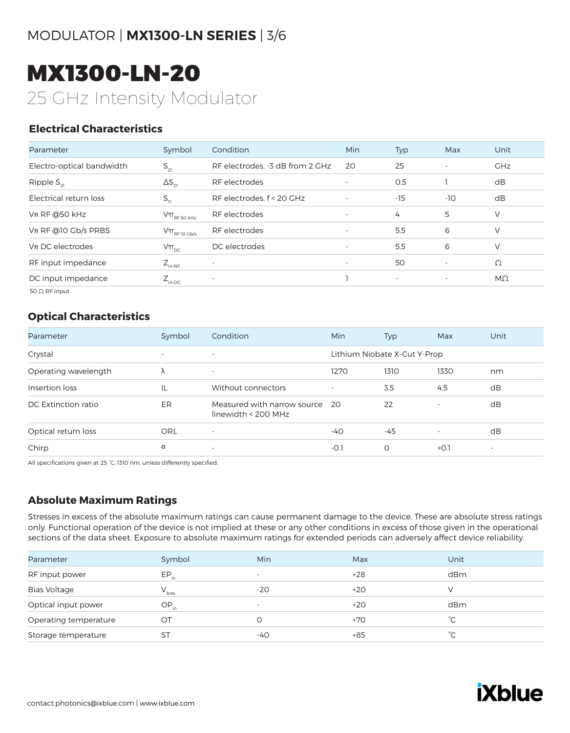# MX1300-LN-20 25 GHz Intensity Modulator

#### **Electrical Characteristics**

| Parameter                 | Symbol                                                           | Condition                       | Min                      | Typ                      | Max                      | Unit       |
|---------------------------|------------------------------------------------------------------|---------------------------------|--------------------------|--------------------------|--------------------------|------------|
| Electro-optical bandwidth | $S_{21}$                                                         | RF electrodes. -3 dB from 2 GHz | 20                       | 25                       | $\overline{\phantom{a}}$ | <b>GHz</b> |
| Ripple $S_{21}$           | $\Delta S_{21}$                                                  | RF electrodes                   | $\overline{\phantom{a}}$ | 0.5                      |                          | dB         |
| Electrical return loss    | $S_{11}$                                                         | RF electrodes, f < 20 GHz       | $\overline{\phantom{a}}$ | $-15$                    | $-10$                    | dB         |
| $Vπ$ RF @50 kHz           | $\mathsf{V}\pi_{\scriptscriptstyle\mathrm{RF}}$ 50 kHz           | RF electrodes                   | $\overline{\phantom{a}}$ | 4                        | 5                        | V          |
| $V\pi$ RF @10 Gb/s PRBS   | $\text{V}\pi_{\scriptscriptstyle\mathrm{RF}\,10\,\mathrm{Gb/s}}$ | RF electrodes                   | $\overline{\phantom{a}}$ | 5.5                      | 6                        | V          |
| $Vπ$ DC electrodes        | $V\pi_{\text{DC}}$                                               | DC electrodes                   | $\overline{\phantom{a}}$ | 5.5                      | 6                        | V          |
| RF input impedance        | $Z_{\text{in-RF}}$                                               | ٠                               | $\sim$                   | 50                       | $\overline{\phantom{a}}$ | Ω          |
| DC input impedance        | $Z_{\text{in-DC}}$                                               | $\overline{\phantom{a}}$        |                          | $\overline{\phantom{a}}$ | $\overline{\phantom{a}}$ | $M\Omega$  |
|                           |                                                                  |                                 |                          |                          |                          |            |

50 Ω RF input

#### **Optical Characteristics**

| Parameter            | Symbol                   | Condition                                            | <b>Min</b> | <b>Typ</b>                   | Max                      | Unit                     |
|----------------------|--------------------------|------------------------------------------------------|------------|------------------------------|--------------------------|--------------------------|
| Crystal              | $\overline{\phantom{a}}$ | $\overline{\phantom{0}}$                             |            | Lithium Niobate X-Cut Y-Prop |                          |                          |
| Operating wavelength | Λ                        | $\overline{\phantom{0}}$                             | 1270       | 1310                         | 1330                     | nm                       |
| Insertion loss       | IL                       | Without connectors                                   |            | 3.5                          | 4.5                      | dB                       |
| DC Extinction ratio  | ER                       | Measured with narrow source<br>linewidth < $200$ MHz | - 20       | 22                           | $\overline{\phantom{a}}$ | dB                       |
| Optical return loss  | <b>ORL</b>               | $\overline{\phantom{a}}$                             | -40        | $-45$                        | $\sim$                   | dB                       |
| Chirp                | α                        | $\overline{\phantom{0}}$                             | -0.1       | O                            | $+0.1$                   | $\overline{\phantom{a}}$ |

All specifications given at 25 °C, 1310 nm, unless differently specified.

#### **Absolute Maximum Ratings**

Stresses in excess of the absolute maximum ratings can cause permanent damage to the device. These are absolute stress ratings only. Functional operation of the device is not implied at these or any other conditions in excess of those given in the operational sections of the data sheet. Exposure to absolute maximum ratings for extended periods can adversely affect device reliability.

| Parameter             | Symbol     | <b>Min</b>               | Max   | Unit         |
|-----------------------|------------|--------------------------|-------|--------------|
| RF input power        | $EP_{in}$  | $\overline{\phantom{0}}$ | $+28$ | dBm          |
| <b>Bias Voltage</b>   | $V_{bias}$ | $-20$                    | $+20$ |              |
| Optical input power   | $OP_{in}$  | $\overline{\phantom{a}}$ | $+20$ | dBm          |
| Operating temperature | OT         |                          | $+70$ | °С           |
| Storage temperature   | ST         | -40                      | $+85$ | $^{\circ}$ C |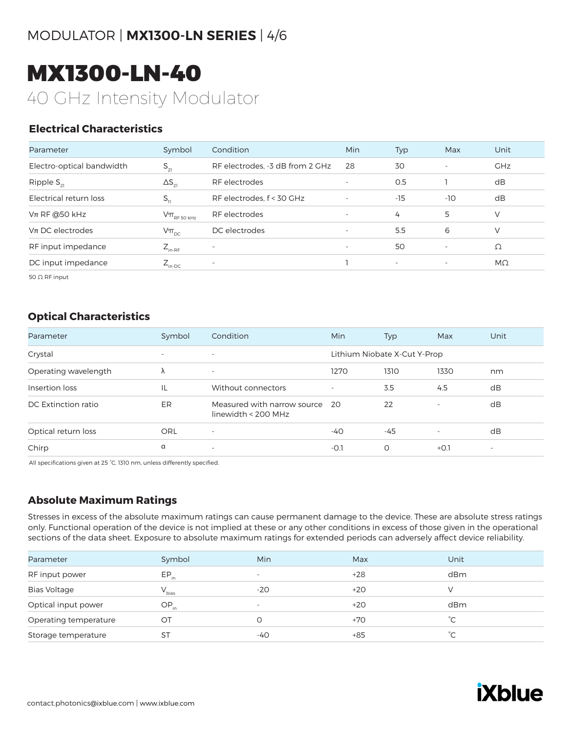# MODULATOR | **MX1300-LN SERIES** | 4/6

# MX1300-LN-40 40 GHz Intensity Modulator

#### **Electrical Characteristics**

| Parameter                 | Symbol                                                                              | Condition                       | Min                      | Typ                      | Max                      | Unit       |
|---------------------------|-------------------------------------------------------------------------------------|---------------------------------|--------------------------|--------------------------|--------------------------|------------|
| Electro-optical bandwidth | $S_{21}$                                                                            | RF electrodes. -3 dB from 2 GHz | 28                       | 30                       | <b>.</b>                 | <b>GHz</b> |
| Ripple $S_{21}$           | $\Delta S_{21}$                                                                     | RF electrodes                   | $\overline{\phantom{a}}$ | O.5                      |                          | dB         |
| Electrical return loss    | $S_{11}$                                                                            | RF electrodes, f < 30 GHz       | $\overline{\phantom{a}}$ | $-15$                    | $-10$                    | dB         |
| $Vπ$ RF @50 kHz           | $\mathsf{V}\pi_{\scriptscriptstyle\mathrm{RF}\,50\,\scriptscriptstyle\mathrm{kHz}}$ | RF electrodes                   | $\overline{\phantom{0}}$ | 4                        | 5                        | V          |
| $Vπ$ DC electrodes        | $V\pi_{\text{pc}}$                                                                  | DC electrodes                   | $\overline{\phantom{a}}$ | 5.5                      | 6                        | V          |
| RF input impedance        | $Z_{_{\text{in-RF}}}$                                                               | $\overline{\phantom{a}}$        | $\overline{\phantom{0}}$ | 50                       | $\overline{\phantom{a}}$ | Ω          |
| DC input impedance        | $Z_{\text{in-DC}}$                                                                  | $\overline{\phantom{a}}$        |                          | $\overline{\phantom{a}}$ | $\overline{\phantom{a}}$ | MΩ         |
|                           |                                                                                     |                                 |                          |                          |                          |            |

50 Ω RF input

#### **Optical Characteristics**

| Parameter            | Symbol                   | Condition                                          | <b>Min</b> | Typ                          | Max                      | Unit                     |
|----------------------|--------------------------|----------------------------------------------------|------------|------------------------------|--------------------------|--------------------------|
| Crystal              | $\overline{\phantom{a}}$ | $\overline{\phantom{0}}$                           |            | Lithium Niobate X-Cut Y-Prop |                          |                          |
| Operating wavelength | $\Lambda$                | $\overline{\phantom{a}}$                           | 1270       | 1310                         | 1330                     | nm                       |
| Insertion loss       | IL                       | Without connectors                                 |            | 3.5                          | 4.5                      | dB                       |
| DC Extinction ratio  | ER                       | Measured with narrow source<br>linewidth < 200 MHz | -20        | 22                           | $\overline{\phantom{a}}$ | dB                       |
| Optical return loss  | ORL                      | $\overline{\phantom{a}}$                           | $-40$      | $-45$                        | $\overline{\phantom{a}}$ | dB                       |
| Chirp                | $\alpha$                 | $\overline{\phantom{0}}$                           | $-0.1$     | O                            | $+0.1$                   | $\overline{\phantom{m}}$ |

All specifications given at 25 °C, 1310 nm, unless differently specified.

#### **Absolute Maximum Ratings**

Stresses in excess of the absolute maximum ratings can cause permanent damage to the device. These are absolute stress ratings only. Functional operation of the device is not implied at these or any other conditions in excess of those given in the operational sections of the data sheet. Exposure to absolute maximum ratings for extended periods can adversely affect device reliability.

| Parameter             | Symbol     | <b>Min</b>               | Max   | Unit         |
|-----------------------|------------|--------------------------|-------|--------------|
| RF input power        | $EP_{in}$  | $\overline{\phantom{0}}$ | $+28$ | dBm          |
| <b>Bias Voltage</b>   | $V_{bias}$ | $-20$                    | $+20$ |              |
| Optical input power   | $OP_{in}$  | $\overline{\phantom{0}}$ | $+20$ | dBm          |
| Operating temperature | OT         | 0                        | $+70$ | $^{\circ}$ C |
| Storage temperature   | <b>ST</b>  | -40                      | $+85$ | $^{\circ}$ C |

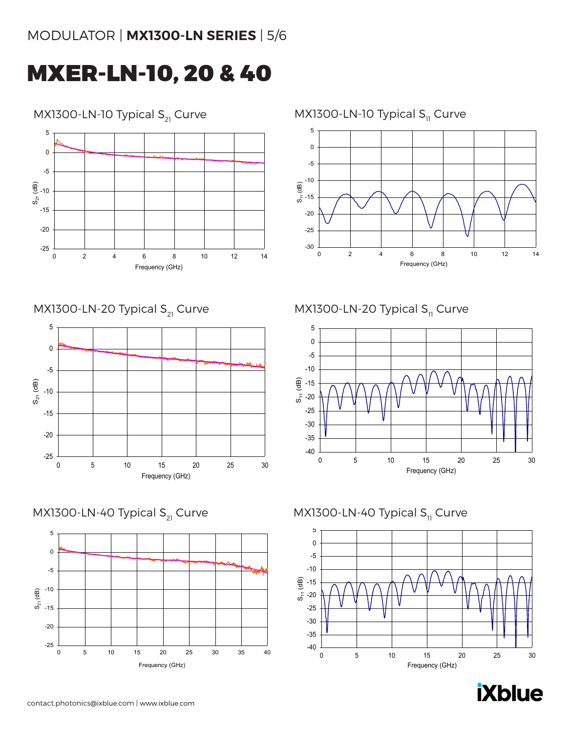# MODULATOR | **MX1300-LN SERIES** | 5/6

# MXER-LN-10, 20 & 40

### MX1300-LN-10 Typical  $S_{21}$  Curve



MX1300-LN-20 Typical  $S_{21}$  Curve



MX1300-LN-40 Typical  $S_{21}$  Curve



### MX1300-LN-10 Typical  $S_{11}$  Curve



MX1300-LN-20 Typical  $S<sub>11</sub>$  Curve



#### MX1300-LN-40 Typical  $S<sub>11</sub>$  Curve